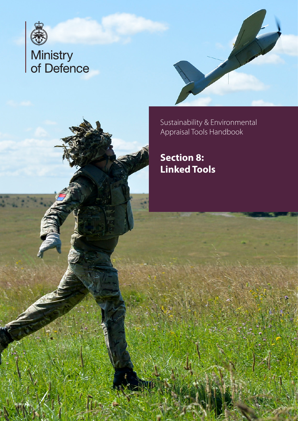

# Ministry<br>of Defence I



Sustainability & Environmental Appraisal Tools Handbook

**Section 8: Linked Tools**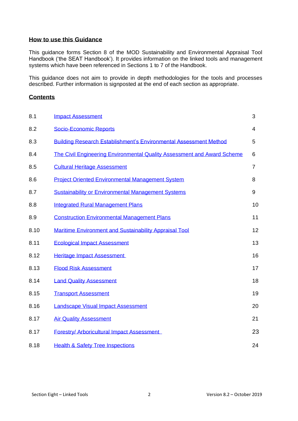#### **How to use this Guidance**

This guidance forms Section 8 of the MOD Sustainability and Environmental Appraisal Tool Handbook ('the SEAT Handbook'). It provides information on the linked tools and management systems which have been referenced in Sections 1 to 7 of the Handbook.

This guidance does not aim to provide in depth methodologies for the tools and processes described. Further information is signposted at the end of each section as appropriate.

#### **Contents**

| 8.1  | <b>Impact Assessment</b>                                                 | 3              |
|------|--------------------------------------------------------------------------|----------------|
| 8.2  | <b>Socio-Economic Reports</b>                                            | 4              |
| 8.3  | <b>Building Research Establishment's Environmental Assessment Method</b> | 5              |
| 8.4  | The Civil Engineering Environmental Quality Assessment and Award Scheme  | 6              |
| 8.5  | <b>Cultural Heritage Assessment</b>                                      | $\overline{7}$ |
| 8.6  | <b>Project Oriented Environmental Management System</b>                  | 8              |
| 8.7  | <b>Sustainability or Environmental Management Systems</b>                | 9              |
| 8.8  | <b>Integrated Rural Management Plans</b>                                 | 10             |
| 8.9  | <b>Construction Environmental Management Plans</b>                       | 11             |
| 8.10 | Maritime Environment and Sustainability Appraisal Tool                   | 12             |
| 8.11 | <b>Ecological Impact Assessment</b>                                      | 13             |
| 8.12 | <b>Heritage Impact Assessment</b>                                        | 16             |
| 8.13 | <b>Flood Risk Assessment</b>                                             | 17             |
| 8.14 | <b>Land Quality Assessment</b>                                           | 18             |
| 8.15 | <b>Transport Assessment</b>                                              | 19             |
| 8.16 | <b>Landscape Visual Impact Assessment</b>                                | 20             |
| 8.17 | <b>Air Quality Assessment</b>                                            | 21             |
| 8.17 | Forestry/ Arboricultural Impact Assessment                               | 23             |
| 8.18 | <b>Health &amp; Safety Tree Inspections</b>                              | 24             |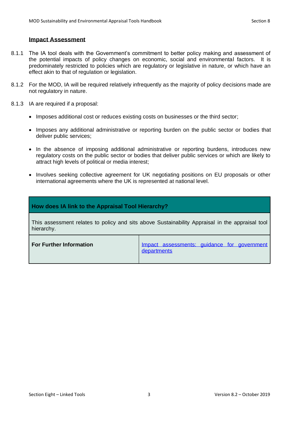#### <span id="page-2-0"></span>**Impact Assessment**

- 8.1.1 The IA tool deals with the Government's commitment to better policy making and assessment of the potential impacts of policy changes on economic, social and environmental factors. It is predominately restricted to policies which are regulatory or legislative in nature, or which have an effect akin to that of regulation or legislation.
- 8.1.2 For the MOD, IA will be required relatively infrequently as the majority of policy decisions made are not regulatory in nature.
- 8.1.3 IA are required if a proposal:
	- Imposes additional cost or reduces existing costs on businesses or the third sector;
	- Imposes any additional administrative or reporting burden on the public sector or bodies that deliver public services;
	- In the absence of imposing additional administrative or reporting burdens, introduces new regulatory costs on the public sector or bodies that deliver public services or which are likely to attract high levels of political or media interest;
	- Involves seeking collective agreement for UK negotiating positions on EU proposals or other international agreements where the UK is represented at national level.

#### **How does IA link to the Appraisal Tool Hierarchy?**

This assessment relates to policy and sits above Sustainability Appraisal in the appraisal tool hierarchy.

| <b>For Further Information</b> | Impact assessments: guidance for government<br>departments |
|--------------------------------|------------------------------------------------------------|
|                                |                                                            |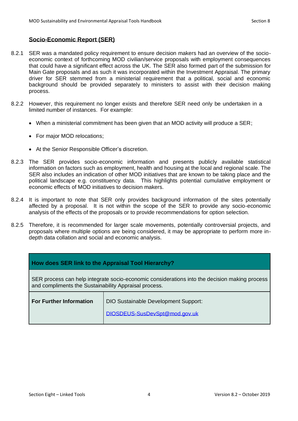## <span id="page-3-0"></span>**Socio-Economic Report (SER)**

- 8.2.1 SER was a mandated policy requirement to ensure decision makers had an overview of the socioeconomic context of forthcoming MOD civilian/service proposals with employment consequences that could have a significant effect across the UK. The SER also formed part of the submission for Main Gate proposals and as such it was incorporated within the Investment Appraisal. The primary driver for SER stemmed from a ministerial requirement that a political, social and economic background should be provided separately to ministers to assist with their decision making process.
- 8.2.2 However, this requirement no longer exists and therefore SER need only be undertaken in a limited number of instances. For example:
	- When a ministerial commitment has been given that an MOD activity will produce a SER;
	- For major MOD relocations;
	- At the Senior Responsible Officer's discretion.
- 8.2.3 The SER provides socio-economic information and presents publicly available statistical information on factors such as employment, health and housing at the local and regional scale. The SER also includes an indication of other MOD initiatives that are known to be taking place and the political landscape e.g. constituency data. This highlights potential cumulative employment or economic effects of MOD initiatives to decision makers.
- 8.2.4 It is important to note that SER only provides background information of the sites potentially affected by a proposal. It is not within the scope of the SER to provide any socio-economic analysis of the effects of the proposals or to provide recommendations for option selection.
- 8.2.5 Therefore, it is recommended for larger scale movements, potentially controversial projects, and proposals where multiple options are being considered, it may be appropriate to perform more indepth data collation and social and economic analysis.

| How does SER link to the Appraisal Tool Hierarchy?                                                                                                     |                                                                              |  |  |  |  |  |  |
|--------------------------------------------------------------------------------------------------------------------------------------------------------|------------------------------------------------------------------------------|--|--|--|--|--|--|
| SER process can help integrate socio-economic considerations into the decision making process<br>and compliments the Sustainability Appraisal process. |                                                                              |  |  |  |  |  |  |
| <b>For Further Information</b>                                                                                                                         | <b>DIO Sustainable Development Support:</b><br>DIOSDEUS-SusDevSpt@mod.gov.uk |  |  |  |  |  |  |
|                                                                                                                                                        |                                                                              |  |  |  |  |  |  |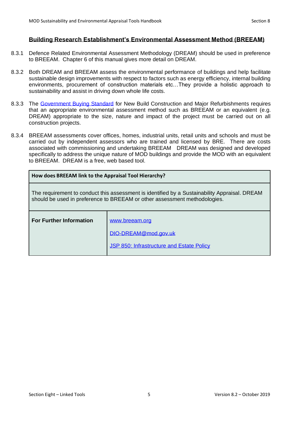#### <span id="page-4-0"></span>**Building Research Establishment's Environmental Assessment Method (BREEAM)**

- 8.3.1 Defence Related Environmental Assessment Methodology (DREAM) should be used in preference to BREEAM. Chapter 6 of this manual gives more detail on DREAM.
- 8.3.2 Both DREAM and BREEAM assess the environmental performance of buildings and help facilitate sustainable design improvements with respect to factors such as energy efficiency, internal building environments, procurement of construction materials etc…They provide a holistic approach to sustainability and assist in driving down whole life costs.
- 8.3.3 The [Government Buying Standard](https://www.gov.uk/government/collections/sustainable-procurement-the-government-buying-standards-gbs) for New Build Construction and Major Refurbishments requires that an appropriate environmental assessment method such as BREEAM or an equivalent (e.g. DREAM) appropriate to the size, nature and impact of the project must be carried out on all construction projects.
- 8.3.4 BREEAM assessments cover offices, homes, industrial units, retail units and schools and must be carried out by independent assessors who are trained and licensed by BRE. There are costs associated with commissioning and undertaking BREEAM DREAM was designed and developed specifically to address the unique nature of MOD buildings and provide the MOD with an equivalent to BREEAM. DREAM is a free, web based tool.

| How does BREEAM link to the Appraisal Tool Hierarchy?                                                                                                                      |                                           |  |  |  |  |  |
|----------------------------------------------------------------------------------------------------------------------------------------------------------------------------|-------------------------------------------|--|--|--|--|--|
| The requirement to conduct this assessment is identified by a Sustainability Appraisal. DREAM<br>should be used in preference to BREEAM or other assessment methodologies. |                                           |  |  |  |  |  |
| <b>For Further Information</b>                                                                                                                                             | www.breeam.org                            |  |  |  |  |  |
|                                                                                                                                                                            | DIO-DREAM@mod.gov.uk                      |  |  |  |  |  |
|                                                                                                                                                                            | JSP 850: Infrastructure and Estate Policy |  |  |  |  |  |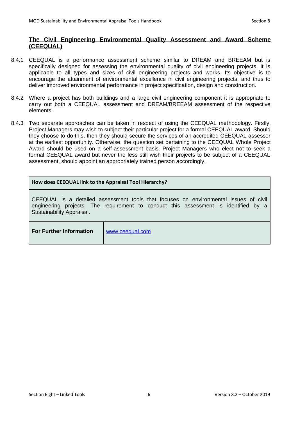#### <span id="page-5-0"></span>**The Civil Engineering Environmental Quality Assessment and Award Scheme (CEEQUAL)**

- 8.4.1 CEEQUAL is a performance assessment scheme similar to DREAM and BREEAM but is specifically designed for assessing the environmental quality of civil engineering projects. It is applicable to all types and sizes of civil engineering projects and works. Its objective is to encourage the attainment of environmental excellence in civil engineering projects, and thus to deliver improved environmental performance in project specification, design and construction.
- 8.4.2 Where a project has both buildings and a large civil engineering component it is appropriate to carry out both a CEEQUAL assessment and DREAM/BREEAM assessment of the respective elements.
- 8.4.3 Two separate approaches can be taken in respect of using the CEEQUAL methodology. Firstly, Project Managers may wish to subject their particular project for a formal CEEQUAL award. Should they choose to do this, then they should secure the services of an accredited CEEQUAL assessor at the earliest opportunity. Otherwise, the question set pertaining to the CEEQUAL Whole Project Award should be used on a self-assessment basis. Project Managers who elect not to seek a formal CEEQUAL award but never the less still wish their projects to be subject of a CEEQUAL assessment, should appoint an appropriately trained person accordingly.

#### **How does CEEQUAL link to the Appraisal Tool Hierarchy?**

CEEQUAL is a detailed assessment tools that focuses on environmental issues of civil engineering projects. The requirement to conduct this assessment is identified by a Sustainability Appraisal.

| <b>For Further Information</b> | www.ceequal.com |
|--------------------------------|-----------------|
|--------------------------------|-----------------|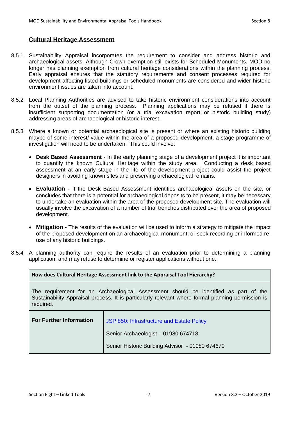## <span id="page-6-0"></span>**Cultural Heritage Assessment**

- 8.5.1 Sustainability Appraisal incorporates the requirement to consider and address historic and archaeological assets. Although Crown exemption still exists for Scheduled Monuments, MOD no longer has planning exemption from cultural heritage considerations within the planning process. Early appraisal ensures that the statutory requirements and consent processes required for development affecting listed buildings or scheduled monuments are considered and wider historic environment issues are taken into account.
- 8.5.2 Local Planning Authorities are advised to take historic environment considerations into account from the outset of the planning process. Planning applications may be refused if there is insufficient supporting documentation (or a trial excavation report or historic building study) addressing areas of archaeological or historic interest.
- 8.5.3 Where a known or potential archaeological site is present or where an existing historic building maybe of some interest/ value within the area of a proposed development, a stage programme of investigation will need to be undertaken. This could involve:
	- **Desk Based Assessment** In the early planning stage of a development project it is important to quantify the known Cultural Heritage within the study area. Conducting a desk based assessment at an early stage in the life of the development project could assist the project designers in avoiding known sites and preserving archaeological remains.
	- **Evaluation -** If the Desk Based Assessment identifies archaeological assets on the site, or concludes that there is a potential for archaeological deposits to be present, it may be necessary to undertake an evaluation within the area of the proposed development site. The evaluation will usually involve the excavation of a number of trial trenches distributed over the area of proposed development.
	- **Mitigation -** The results of the evaluation will be used to inform a strategy to mitigate the impact of the proposed development on an archaeological monument, or seek recording or informed reuse of any historic buildings.
- 8.5.4 A planning authority can require the results of an evaluation prior to determining a planning application, and may refuse to determine or register applications without one.

| How does Cultural Heritage Assessment link to the Appraisal Tool Hierarchy?                                                                                                                            |                                                 |  |  |  |  |  |  |  |
|--------------------------------------------------------------------------------------------------------------------------------------------------------------------------------------------------------|-------------------------------------------------|--|--|--|--|--|--|--|
| The requirement for an Archaeological Assessment should be identified as part of the<br>Sustainability Appraisal process. It is particularly relevant where formal planning permission is<br>required. |                                                 |  |  |  |  |  |  |  |
| <b>For Further Information</b>                                                                                                                                                                         | JSP 850: Infrastructure and Estate Policy       |  |  |  |  |  |  |  |
|                                                                                                                                                                                                        | Senior Archaeologist - 01980 674718             |  |  |  |  |  |  |  |
|                                                                                                                                                                                                        | Senior Historic Building Advisor - 01980 674670 |  |  |  |  |  |  |  |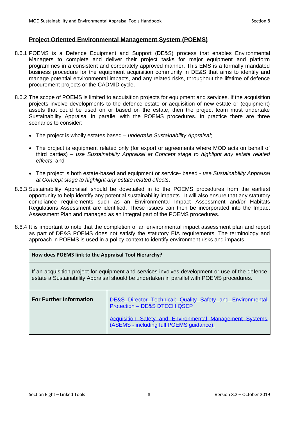#### <span id="page-7-0"></span>**Project Oriented Environmental Management System (POEMS)**

- 8.6.1 POEMS is a Defence Equipment and Support (DE&S) process that enables Environmental Managers to complete and deliver their project tasks for major equipment and platform programmes in a consistent and corporately approved manner. This EMS is a formally mandated business procedure for the equipment acquisition community in DE&S that aims to identify and manage potential environmental impacts, and any related risks, throughout the lifetime of defence procurement projects or the CADMID cycle.
- 8.6.2 The scope of POEMS is limited to acquisition projects for equipment and services. If the acquisition projects involve developments to the defence estate or acquisition of new estate or (equipment) assets that could be used on or based on the estate, then the project team must undertake Sustainability Appraisal in parallel with the POEMS procedures. In practice there are three scenarios to consider:
	- The project is wholly estates based *undertake Sustainability Appraisal*;
	- The project is equipment related only (for export or agreements where MOD acts on behalf of third parties) – *use Sustainability Appraisal at Concept stage to highlight any estate related effects*; and
	- The project is both estate-based and equipment or service- based *use Sustainability Appraisal at Concept stage to highlight any estate related effects*.
- 8.6.3 Sustainability Appraisal should be dovetailed in to the POEMS procedures from the earliest opportunity to help identify any potential sustainability impacts. It will also ensure that any statutory compliance requirements such as an Environmental Impact Assessment and/or Habitats Regulations Assessment are identified. These issues can then be incorporated into the Impact Assessment Plan and managed as an integral part of the POEMS procedures.
- 8.6.4 It is important to note that the completion of an environmental impact assessment plan and report as part of DE&S POEMS does not satisfy the statutory EIA requirements. The terminology and approach in POEMS is used in a policy context to identify environment risks and impacts.

| How does POEMS link to the Appraisal Tool Hierarchy?                                                                                                                                         |                                                                                                                                                                                                  |  |  |  |  |  |  |
|----------------------------------------------------------------------------------------------------------------------------------------------------------------------------------------------|--------------------------------------------------------------------------------------------------------------------------------------------------------------------------------------------------|--|--|--|--|--|--|
| If an acquisition project for equipment and services involves development or use of the defence<br>estate a Sustainability Appraisal should be undertaken in parallel with POEMS procedures. |                                                                                                                                                                                                  |  |  |  |  |  |  |
| <b>For Further Information</b>                                                                                                                                                               | DE&S Director Technical: Quality Safety and Environmental<br>Protection - DE&S DTECH QSEP<br>Acquisition Safety and Environmental Management Systems<br>(ASEMS - including full POEMS guidance). |  |  |  |  |  |  |

#### Section Eight – Linked Tools 8 Version 8.2 – October 2019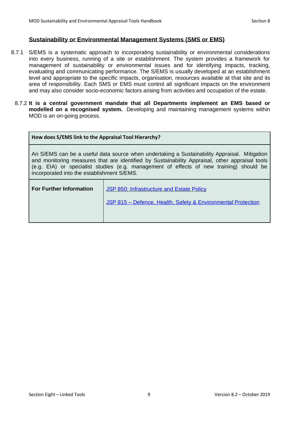#### <span id="page-8-0"></span>**Sustainability or Environmental Management Systems (SMS or EMS)**

- 8.7.1 S/EMS is a systematic approach to incorporating sustainability or environmental considerations into every business, running of a site or establishment. The system provides a framework for management of sustainability or environmental issues and for identifying impacts, tracking, evaluating and communicating performance. The S/EMS is usually developed at an establishment level and appropriate to the specific impacts, organisation, resources available at that site and its area of responsibility. Each SMS or EMS must control all significant impacts on the environment and may also consider socio-economic factors arising from activities and occupation of the estate.
	- 8.7.2 **It is a central government mandate that all Departments implement an EMS based or modelled on a recognised system.** Developing and maintaining management systems within MOD is an on-going process.

| How does S/EMS link to the Appraisal Tool Hierarchy?                                                                                                                                                                                                                                                                                    |                                                                                                           |  |  |  |  |  |  |
|-----------------------------------------------------------------------------------------------------------------------------------------------------------------------------------------------------------------------------------------------------------------------------------------------------------------------------------------|-----------------------------------------------------------------------------------------------------------|--|--|--|--|--|--|
| An S/EMS can be a useful data source when undertaking a Sustainability Appraisal. Mitigation<br>and monitoring measures that are identified by Sustainability Appraisal, other appraisal tools<br>(e.g. EIA) or specialist studies (e.g. management of effects of new training) should be<br>incorporated into the establishment S/EMS. |                                                                                                           |  |  |  |  |  |  |
| <b>For Further Information</b>                                                                                                                                                                                                                                                                                                          | JSP 850: Infrastructure and Estate Policy<br>JSP 815 - Defence, Health, Safety & Environmental Protection |  |  |  |  |  |  |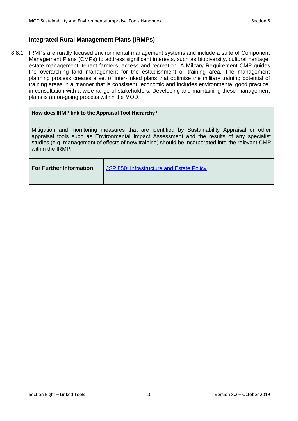#### <span id="page-9-0"></span>**Integrated Rural Management Plans (IRMPs)**

8.8.1 IRMPs are rurally focused environmental management systems and include a suite of Component Management Plans (CMPs) to address significant interests, such as biodiversity, cultural heritage, estate management, tenant farmers, access and recreation. A Military Requirement CMP guides the overarching land management for the establishment or training area. The management planning process creates a set of inter-linked plans that optimise the military training potential of training areas in a manner that is consistent, economic and includes environmental good practice, in consultation with a wide range of stakeholders. Developing and maintaining these management plans is an on-going process within the MOD.

#### **How does IRMP link to the Appraisal Tool Hierarchy?**

Mitigation and monitoring measures that are identified by Sustainability Appraisal or other appraisal tools such as Environmental Impact Assessment and the results of any specialist studies (e.g. management of effects of new training) should be incorporated into the relevant CMP within the IRMP.

| <b>For Further Information</b> | JSP 850: Infrastructure and Estate Policy |
|--------------------------------|-------------------------------------------|
|                                |                                           |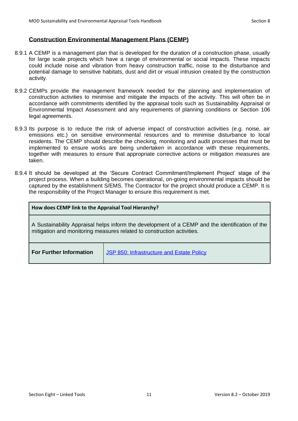#### <span id="page-10-0"></span>**Construction Environmental Management Plans (CEMP)**

- 8.9.1 A CEMP is a management plan that is developed for the duration of a construction phase, usually for large scale projects which have a range of environmental or social impacts. These impacts could include noise and vibration from heavy construction traffic, noise to the disturbance and potential damage to sensitive habitats, dust and dirt or visual intrusion created by the construction activity.
- 8.9.2 CEMPs provide the management framework needed for the planning and implementation of construction activities to minimise and mitigate the impacts of the activity. This will often be in accordance with commitments identified by the appraisal tools such as Sustainability Appraisal or Environmental Impact Assessment and any requirements of planning conditions or Section 106 legal agreements.
- 8.9.3 Its purpose is to reduce the risk of adverse impact of construction activities (e.g. noise, air emissions etc.) on sensitive environmental resources and to minimise disturbance to local residents. The CEMP should describe the checking, monitoring and audit processes that must be implemented to ensure works are being undertaken in accordance with these requirements, together with measures to ensure that appropriate corrective actions or mitigation measures are taken.
- 8.9.4 It should be developed at the 'Secure Contract Commitment/Implement Project' stage of the project process. When a building becomes operational, on-going environmental impacts should be captured by the establishment S/EMS. The Contractor for the project should produce a CEMP. It is the responsibility of the Project Manager to ensure this requirement is met.

| How does CEMP link to the Appraisal Tool Hierarchy?                                                                                                                       |                                           |  |  |  |  |  |
|---------------------------------------------------------------------------------------------------------------------------------------------------------------------------|-------------------------------------------|--|--|--|--|--|
| A Sustainability Appraisal helps inform the development of a CEMP and the identification of the<br>mitigation and monitoring measures related to construction activities. |                                           |  |  |  |  |  |
| <b>For Further Information</b>                                                                                                                                            | JSP 850: Infrastructure and Estate Policy |  |  |  |  |  |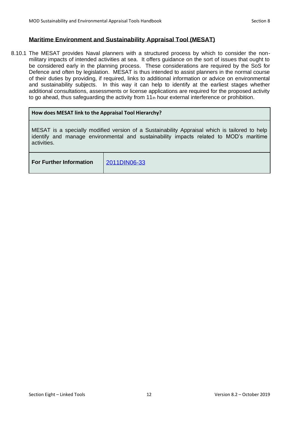### <span id="page-11-0"></span>**Maritime Environment and Sustainability Appraisal Tool (MESAT)**

8.10.1 The MESAT provides Naval planners with a structured process by which to consider the nonmilitary impacts of intended activities at sea. It offers guidance on the sort of issues that ought to be considered early in the planning process. These considerations are required by the SoS for Defence and often by legislation. MESAT is thus intended to assist planners in the normal course of their duties by providing, if required, links to additional information or advice on environmental and sustainability subjects. In this way it can help to identify at the earliest stages whether additional consultations, assessments or license applications are required for the proposed activity to go ahead, thus safeguarding the activity from 11<sup>th</sup> hour external interference or prohibition.

#### **How does MESAT link to the Appraisal Tool Hierarchy?**

MESAT is a specially modified version of a Sustainability Appraisal which is tailored to help identify and manage environmental and sustainability impacts related to MOD's maritime activities.

**For Further Information** [2011DIN06-33](http://defenceintranet.diif.r.mil.uk/libraries/corporate/DINS%20Archive/2011/2011DIN06-033.pdf)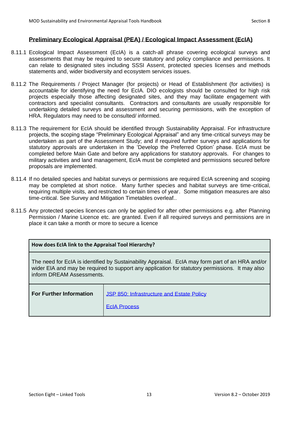## **Preliminary Ecological Appraisal (PEA) / Ecological Impact Assessment (EcIA)**

- 8.11.1 [Ecological](http://defenceintranetds.diiweb.r.mil.uk/sites/polestar/cs/DocumentLibrary/08/882_200901101%20-%20Section%205%20HRA%20Final%20-%20U.pdf) Impact Assessment (EcIA) is a catch-all phrase covering ecological surveys and assessments that may be required to secure statutory and policy compliance and permissions. It can relate to designated sites including SSSI Assent, protected species licenses and methods statements and, wider biodiversity and ecosystem services issues.
- 8.11.2 The Requirements / Project Manager (for projects) or Head of Establishment (for activities) is accountable for identifying the need for EcIA. DIO ecologists should be consulted for high risk projects especially those affecting designated sites, and they may facilitate engagement with contractors and specialist consultants. Contractors and consultants are usually responsible for undertaking detailed surveys and assessment and securing permissions, with the exception of HRA. Regulators may need to be consulted/ informed.
- 8.11.3 The requirement for EcIA should be identified through Sustainability Appraisal. For infrastructure projects, the scoping stage "Preliminary Ecological Appraisal" and any time-critical surveys may be undertaken as part of the Assessment Study; and if required further surveys and applications for statutory approvals are undertaken in the 'Develop the Preferred Option' phase. EcIA must be completed before Main Gate and before any applications for statutory approvals. For changes to military activities and land management, EcIA must be completed and permissions secured before proposals are implemented.
- 8.11.4 If no detailed species and habitat surveys or permissions are required EcIA screening and scoping may be completed at short notice. Many further species and habitat surveys are time-critical, requiring multiple visits, and restricted to certain times of year. Some mitigation measures are also time-critical. See Survey and Mitigation Timetables overleaf..
- 8.11.5 Any protected species licences can only be applied for after other permissions e.g. after Planning Permission / Marine Licence etc. are granted. Even if all required surveys and permissions are in place it can take a month or more to secure a licence

| How does EcIA link to the Appraisal Tool Hierarchy?                                                                                                                                                                              |                                                                  |  |  |  |  |  |
|----------------------------------------------------------------------------------------------------------------------------------------------------------------------------------------------------------------------------------|------------------------------------------------------------------|--|--|--|--|--|
| The need for EcIA is identified by Sustainability Appraisal. EcIA may form part of an HRA and/or<br>wider EIA and may be required to support any application for statutory permissions. It may also<br>inform DREAM Assessments. |                                                                  |  |  |  |  |  |
| <b>For Further Information</b>                                                                                                                                                                                                   | JSP 850: Infrastructure and Estate Policy<br><b>FolA Process</b> |  |  |  |  |  |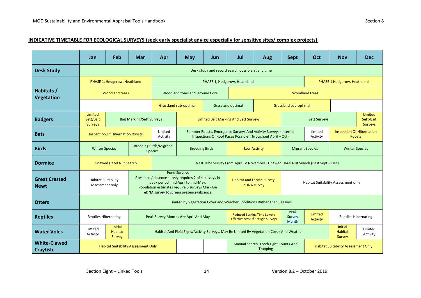|                                        | <b>Jan</b>                                                                 | Feb                                        | Mar                                                                                      | Apr                           | <b>May</b>                                                                                                                                                                                                                                                | Jun                                                                           | Jul                                                                                                    | Aug                                                                      | <b>Sept</b>                         | Oct                         | <b>Nov</b>                             | <b>Dec</b>            |  |
|----------------------------------------|----------------------------------------------------------------------------|--------------------------------------------|------------------------------------------------------------------------------------------|-------------------------------|-----------------------------------------------------------------------------------------------------------------------------------------------------------------------------------------------------------------------------------------------------------|-------------------------------------------------------------------------------|--------------------------------------------------------------------------------------------------------|--------------------------------------------------------------------------|-------------------------------------|-----------------------------|----------------------------------------|-----------------------|--|
| <b>Desk Study</b>                      | Desk study and record search possible at any time                          |                                            |                                                                                          |                               |                                                                                                                                                                                                                                                           |                                                                               |                                                                                                        |                                                                          |                                     |                             |                                        |                       |  |
|                                        |                                                                            | PHASE 1, Hedgerow, Heathland               |                                                                                          |                               |                                                                                                                                                                                                                                                           | PHASE 1, Hedgerow, Heathland                                                  |                                                                                                        |                                                                          |                                     | PHASE 1 Hedgerow, Heathland |                                        |                       |  |
| Habitats /<br>Vegetation               | <b>Woodland trees</b>                                                      |                                            |                                                                                          |                               | Woodland trees and ground flora                                                                                                                                                                                                                           |                                                                               |                                                                                                        | <b>Woodland trees</b>                                                    |                                     |                             |                                        |                       |  |
|                                        |                                                                            |                                            |                                                                                          |                               | <b>Grassland sub-optimal</b><br><b>Grassland optimal</b>                                                                                                                                                                                                  |                                                                               |                                                                                                        |                                                                          | <b>Grassland sub-optimal</b>        |                             |                                        |                       |  |
| <b>Badgers</b>                         | Limited<br>Sett/Bait<br><b>Bait Marking/Sett Surveys</b><br><b>Surveys</b> |                                            |                                                                                          |                               | <b>Limited Bait Marking And Sett Surveys</b>                                                                                                                                                                                                              |                                                                               |                                                                                                        |                                                                          | <b>Sett Surveys</b>                 |                             | Limited<br>Sett/Bait<br><b>Surveys</b> |                       |  |
| <b>Bats</b>                            | <b>Inspection Of Hibernation Roosts</b>                                    |                                            |                                                                                          | Limited<br>Activity           | Summer Roosts, Emergence Surveys And Activity Surveys (Internal<br>Inspections Of Roof Paces Possible Throughout April - Oct)                                                                                                                             |                                                                               |                                                                                                        | <b>Inspection Of Hibernation</b><br>Limited<br>Activity<br><b>Roosts</b> |                                     |                             |                                        |                       |  |
| <b>Birds</b>                           | <b>Winter Species</b><br><b>Species</b>                                    |                                            |                                                                                          | <b>Breeding Birds/Migrant</b> | <b>Breeding Birds</b><br><b>Low Activity</b>                                                                                                                                                                                                              |                                                                               |                                                                                                        |                                                                          | <b>Migrant Species</b>              |                             |                                        | <b>Winter Species</b> |  |
| <b>Dormice</b>                         | <b>Gnawed Hazel Nut Search</b>                                             |                                            |                                                                                          |                               | Nest Tube Survey From April To November. Gnawed Hazel Nut Search (Best Sept - Dec)                                                                                                                                                                        |                                                                               |                                                                                                        |                                                                          |                                     |                             |                                        |                       |  |
| <b>Great Crested</b><br><b>Newt</b>    | <b>Habitat Suitability</b><br>Assessment only                              |                                            |                                                                                          |                               | <b>Pond Surveys</b><br>Presence / absence survey requires 2 of 4 surveys in<br>Habitat and Larvae Survey.<br>peak period mid April to mid-May.<br>eDNA survey<br>Population estimates require 6 surveys Mar-Jun<br>eDNA survey to screen presence/absence |                                                                               |                                                                                                        |                                                                          | Habitat Suitability Assessment only |                             |                                        |                       |  |
| <b>Otters</b>                          | Limited by Vegetation Cover and Weather Conditions Rather Than Seasons     |                                            |                                                                                          |                               |                                                                                                                                                                                                                                                           |                                                                               |                                                                                                        |                                                                          |                                     |                             |                                        |                       |  |
| <b>Reptiles</b>                        | <b>Reptiles Hibernating</b><br>Peak Survey Months Are April And May        |                                            |                                                                                          |                               |                                                                                                                                                                                                                                                           | <b>Reduced Basking Time Lowers</b><br><b>Effectiveness Of Refugia Surveys</b> |                                                                                                        | Peak<br>Survey<br>Month                                                  | Limited<br><b>Activity</b>          | <b>Reptiles Hibernating</b> |                                        |                       |  |
| <b>Water Voles</b>                     | Limited<br>Activity                                                        | <b>Initial</b><br><b>Habitat</b><br>Survey | Habitat And Field Signs/Activity Surveys. May Be Limited By Vegetation Cover And Weather |                               |                                                                                                                                                                                                                                                           |                                                                               |                                                                                                        |                                                                          | Initial<br><b>Habitat</b><br>Survey | Limited<br>Activity         |                                        |                       |  |
| <b>White-Clawed</b><br><b>Crayfish</b> | <b>Habitat Suitability Assessment Only</b>                                 |                                            |                                                                                          |                               |                                                                                                                                                                                                                                                           |                                                                               | Manual Search, Torch Light Counts And<br><b>Habitat Suitability Assessment Only</b><br><b>Trapping</b> |                                                                          |                                     |                             |                                        |                       |  |

#### **INDICATIVE TIMETABLE FOR ECOLOGICAL SURVEYS (seek early specialist advice especially for sensitive sites/ complex projects)**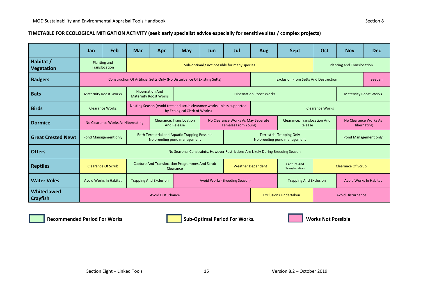#### **TIMETABLE FOR ECOLOGICAL MITIGATION ACTIVITY (seek early specialist advice especially for sensitive sites / complex projects)**

|                                | Jan                                                                                    | Feb | <b>Mar</b>                                  | Apr                                                                                                               | <b>May</b>                                                                                                               | Jun                                                      | Jul                                            | Aug                                                    | <b>Sept</b> | Oct                                  | <b>Nov</b> | <b>Dec</b> |
|--------------------------------|----------------------------------------------------------------------------------------|-----|---------------------------------------------|-------------------------------------------------------------------------------------------------------------------|--------------------------------------------------------------------------------------------------------------------------|----------------------------------------------------------|------------------------------------------------|--------------------------------------------------------|-------------|--------------------------------------|------------|------------|
| Habitat /<br><b>Vegetation</b> | Planting and<br>Translocation                                                          |     | Sub-optimal / not possible for many species |                                                                                                                   |                                                                                                                          |                                                          |                                                |                                                        |             | <b>Planting and Translocation</b>    |            |            |
| <b>Badgers</b>                 | Construction Of Artificial Setts Only (No Disturbance Of Existing Setts)               |     |                                             |                                                                                                                   |                                                                                                                          |                                                          |                                                | <b>Exclusion From Setts And Destruction</b><br>See Jan |             |                                      |            |            |
| <b>Bats</b>                    | <b>Hibernation And</b><br><b>Maternity Roost Works</b><br><b>Maternity Roost Works</b> |     |                                             |                                                                                                                   | <b>Hibernation Roost Works</b>                                                                                           |                                                          |                                                |                                                        |             | <b>Maternity Roost Works</b>         |            |            |
| <b>Birds</b>                   | <b>Clearance Works</b>                                                                 |     |                                             | Nesting Season (Avoid tree and scrub clearance works unless supported<br>by Ecological Clerk of Works)            |                                                                                                                          |                                                          |                                                | <b>Clearance Works</b>                                 |             |                                      |            |            |
| <b>Dormice</b>                 | No Clearance Works As Hibernating                                                      |     |                                             | Clearance, Translocation<br>No Clearance Works As May Separate<br><b>And Release</b><br><b>Females From Young</b> |                                                                                                                          |                                                          | <b>Clearance, Translocation And</b><br>Release |                                                        |             | No Clearance Works As<br>Hibernating |            |            |
| <b>Great Crested Newt</b>      | Pond Management only                                                                   |     |                                             | No breeding pond management                                                                                       | <b>Both Terrestrial and Aquatic Trapping Possible</b><br><b>Terrestrial Trapping Only</b><br>No breeding pond management |                                                          |                                                | Pond Management only                                   |             |                                      |            |            |
| <b>Otters</b>                  | No Seasonal Constraints, However Restrictions Are Likely During Breeding Season        |     |                                             |                                                                                                                   |                                                                                                                          |                                                          |                                                |                                                        |             |                                      |            |            |
| <b>Reptiles</b>                | <b>Clearance Of Scrub</b>                                                              |     |                                             |                                                                                                                   | <b>Capture And Translocation Programmes And Scrub</b><br><b>Weather Dependent</b><br>Clearance                           |                                                          |                                                | <b>Capture And</b><br>Translocation                    |             | <b>Clearance Of Scrub</b>            |            |            |
| <b>Water Voles</b>             | Avoid Works In Habitat                                                                 |     |                                             | <b>Trapping And Exclusion</b>                                                                                     | Avoid Works (Breeding Season)                                                                                            |                                                          | <b>Trapping And Exclusion</b>                  |                                                        |             | <b>Avoid Works In Habitat</b>        |            |            |
| Whiteclawed<br><b>Crayfish</b> | <b>Avoid Disturbance</b>                                                               |     |                                             |                                                                                                                   |                                                                                                                          | <b>Exclusions Undertaken</b><br><b>Avoid Disturbance</b> |                                                |                                                        |             |                                      |            |            |

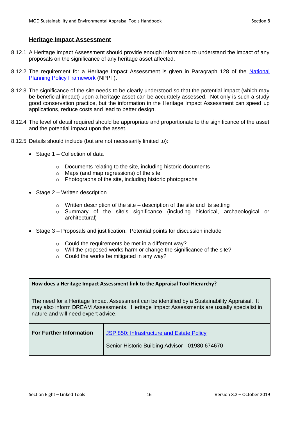## <span id="page-15-0"></span>**Heritage Impact Assessment**

- 8.12.1 A Heritage Impact Assessment should provide enough information to understand the impact of any proposals on the significance of any heritage asset affected.
- 8.12.2 The requirement for a Heritage Impact Assessment is given in Paragraph 128 of the National [Planning Policy Framework](http://planningguidance.communities.gov.uk/blog/policy/achieving-sustainable-development/delivering-sustainable-development/12-conserving-and-enhancing-the-historic-environment/) (NPPF).
- 8.12.3 The significance of the site needs to be clearly understood so that the potential impact (which may be beneficial impact) upon a heritage asset can be accurately assessed. Not only is such a study good conservation practice, but the information in the Heritage Impact Assessment can speed up applications, reduce costs and lead to better design.
- 8.12.4 The level of detail required should be appropriate and proportionate to the significance of the asset and the potential impact upon the asset.
- 8.12.5 Details should include (but are not necessarily limited to):
	- Stage 1 Collection of data
		- o Documents relating to the site, including historic documents
		- o Maps (and map regressions) of the site
		- o Photographs of the site, including historic photographs
	- Stage 2 Written description
		- $\circ$  Written description of the site description of the site and its setting
		- o Summary of the site's significance (including historical, archaeological or architectural)
	- Stage 3 Proposals and justification. Potential points for discussion include
		- o Could the requirements be met in a different way?
		- o Will the proposed works harm or change the significance of the site?
		- $\circ$  Could the works be mitigated in any way?

| How does a Heritage Impact Assessment link to the Appraisal Tool Hierarchy?                                                                                                                                                      |                                                                                              |  |  |
|----------------------------------------------------------------------------------------------------------------------------------------------------------------------------------------------------------------------------------|----------------------------------------------------------------------------------------------|--|--|
| The need for a Heritage Impact Assessment can be identified by a Sustainability Appraisal. It<br>may also inform DREAM Assessments. Heritage Impact Assessments are usually specialist in<br>nature and will need expert advice. |                                                                                              |  |  |
| <b>For Further Information</b>                                                                                                                                                                                                   | JSP 850: Infrastructure and Estate Policy<br>Senior Historic Building Advisor - 01980 674670 |  |  |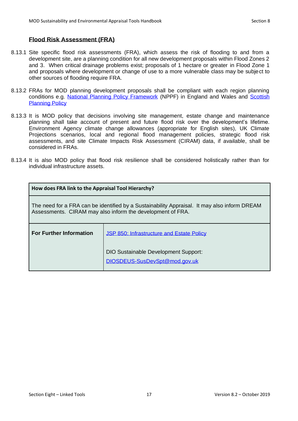### <span id="page-16-0"></span>**Flood Risk Assessment (FRA)**

- 8.13.1 Site specific flood risk assessments (FRA), which assess the risk of flooding to and from a development site, are a planning condition for all new development proposals within Flood Zones 2 and 3. When critical drainage problems exist; proposals of 1 hectare or greater in Flood Zone 1 and proposals where development or change of use to a more vulnerable class may be subject to other sources of flooding require FRA.
- 8.13.2 FRAs for MOD planning development proposals shall be compliant with each region planning conditions e.g. [National Planning Policy Framework](http://planningguidance.communities.gov.uk/blog/policy/achieving-sustainable-development/delivering-sustainable-development/10-meeting-the-challenge-of-climate-change-flooding-and-coastal-change/) (NPPF) in England and Wales and Scottish [Planning Policy](http://www.gov.scot/Publications/2004/02/18880/32953)
- 8.13.3 It is MOD policy that decisions involving site management, estate change and maintenance planning shall take account of present and future flood risk over the development's lifetime. Environment Agency climate change allowances (appropriate for English sites), UK Climate Projections scenarios, local and regional flood management policies, strategic flood risk assessments, and site Climate Impacts Risk Assessment (CIRAM) data, if available, shall be considered in FRAs.
- 8.13.4 It is also MOD policy that flood risk resilience shall be considered holistically rather than for individual infrastructure assets.

| How does FRA link to the Appraisal Tool Hierarchy?                                                                                                         |                                                                       |  |  |  |
|------------------------------------------------------------------------------------------------------------------------------------------------------------|-----------------------------------------------------------------------|--|--|--|
| The need for a FRA can be identified by a Sustainability Appraisal. It may also inform DREAM<br>Assessments. CIRAM may also inform the development of FRA. |                                                                       |  |  |  |
| <b>For Further Information</b>                                                                                                                             | JSP 850: Infrastructure and Estate Policy                             |  |  |  |
|                                                                                                                                                            | DIO Sustainable Development Support:<br>DIOSDEUS-SusDevSpt@mod.gov.uk |  |  |  |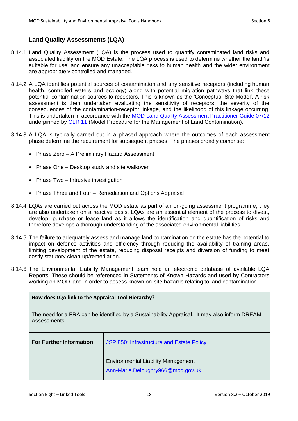## <span id="page-17-0"></span>**Land Quality Assessments (LQA)**

- 8.14.1 Land Quality Assessment (LQA) is the process used to quantify contaminated land risks and associated liability on the MOD Estate. The LQA process is used to determine whether the land 'is suitable for use' and ensure any unacceptable risks to human health and the wider environment are appropriately controlled and managed.
- 8.14.2 A LQA identifies potential sources of contamination and any sensitive receptors (including human health, controlled waters and ecology) along with potential migration pathways that link these potential contamination sources to receptors. This is known as the 'Conceptual Site Model'. A risk assessment is then undertaken evaluating the sensitivity of receptors, the severity of the consequences of the contamination-receptor linkage, and the likelihood of this linkage occurring. This is undertaken in accordance with the [MOD Land Quality Assessment Practitioner Guide 07/12](https://www.gov.uk/government/uploads/system/uploads/attachment_data/file/69771/PG07_12_LQAMG_v2_0.pdf) underpinned by [CLR 11](http://www.claire.co.uk/index.php?option=com_content&view=article&id=911&Itemid=357) (Model Procedure for the Management of Land Contamination).
- 8.14.3 A LQA is typically carried out in a phased approach where the outcomes of each assessment phase determine the requirement for subsequent phases. The phases broadly comprise:
	- Phase Zero A Preliminary Hazard Assessment
	- Phase One Desktop study and site walkover
	- Phase Two Intrusive investigation
	- Phase Three and Four Remediation and Options Appraisal
- 8.14.4 LQAs are carried out across the MOD estate as part of an on-going assessment programme; they are also undertaken on a reactive basis. LQAs are an essential element of the process to divest, develop, purchase or lease land as it allows the identification and quantification of risks and therefore develops a thorough understanding of the associated environmental liabilities.
- 8.14.5 The failure to adequately assess and manage land contamination on the estate has the potential to impact on defence activities and efficiency through reducing the availability of training areas, limiting development of the estate, reducing disposal receipts and diversion of funding to meet costly statutory clean-up/remediation.
- 8.14.6 The Environmental Liability Management team hold an electronic database of available LQA Reports. These should be referenced in Statements of Known Hazards and used by Contractors working on MOD land in order to assess known on-site hazards relating to land contamination.

| How does LQA link to the Appraisal Tool Hierarchy?                                                           |                                                                                |  |  |
|--------------------------------------------------------------------------------------------------------------|--------------------------------------------------------------------------------|--|--|
| The need for a FRA can be identified by a Sustainability Appraisal. It may also inform DREAM<br>Assessments. |                                                                                |  |  |
| <b>For Further Information</b>                                                                               | JSP 850: Infrastructure and Estate Policy                                      |  |  |
|                                                                                                              | <b>Environmental Liability Management</b><br>Ann-Marie.Deloughry966@mod.gov.uk |  |  |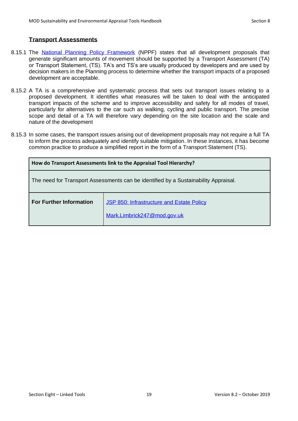#### <span id="page-18-0"></span>**Transport Assessments**

- 8.15.1 The [National Planning Policy Framework](http://planningguidance.communities.gov.uk/blog/guidance/travel-plans-transport-assessments-and-statements-in-decision-taking/) (NPPF) states that all development proposals that generate significant amounts of movement should be supported by a Transport Assessment (TA) or Transport Statement, (TS). TA's and TS's are usually produced by developers and are used by decision makers in the Planning process to determine whether the transport impacts of a proposed development are acceptable.
- 8.15.2 A TA is a comprehensive and systematic process that sets out transport issues relating to a proposed development. It identifies what measures will be taken to deal with the anticipated transport impacts of the scheme and to improve accessibility and safety for all modes of travel, particularly for alternatives to the car such as walking, cycling and public transport. The precise scope and detail of a TA will therefore vary depending on the site location and the scale and nature of the development
- 8.15.3 In some cases, the transport issues arising out of development proposals may not require a full TA to inform the process adequately and identify suitable mitigation. In these instances, it has become common practice to produce a simplified report in the form of a Transport Statement (TS).

| How do Transport Assessments link to the Appraisal Tool Hierarchy?                  |                                                                          |  |  |
|-------------------------------------------------------------------------------------|--------------------------------------------------------------------------|--|--|
| The need for Transport Assessments can be identified by a Sustainability Appraisal. |                                                                          |  |  |
| <b>For Further Information</b>                                                      | JSP 850: Infrastructure and Estate Policy<br>Mark.Limbrick247@mod.gov.uk |  |  |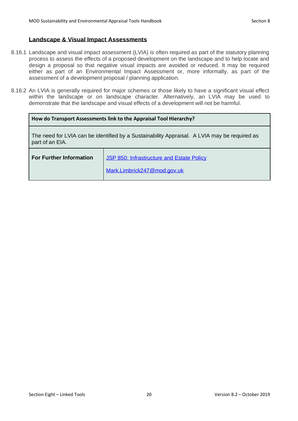#### <span id="page-19-0"></span>**Landscape & Visual Impact Assessments**

- 8.16.1 Landscape and visual impact assessment (LVIA) is often required as part of the statutory planning process to assess the effects of a proposed development on the landscape and to help locate and design a proposal so that negative visual impacts are avoided or reduced. It may be required either as part of an Environmental Impact Assessment or, more informally, as part of the assessment of a development proposal / planning application.
- 8.16.2 An LVIA is generally required for major schemes or those likely to have a significant visual effect within the landscape or on landscape character. Alternatively, an LVIA may be used to demonstrate that the landscape and visual effects of a development will not be harmful.

| How do Transport Assessments link to the Appraisal Tool Hierarchy?                                              |                                                                          |  |  |  |
|-----------------------------------------------------------------------------------------------------------------|--------------------------------------------------------------------------|--|--|--|
| The need for LVIA can be identified by a Sustainability Appraisal. A LVIA may be required as<br>part of an EIA. |                                                                          |  |  |  |
| <b>For Further Information</b>                                                                                  | JSP 850: Infrastructure and Estate Policy<br>Mark.Limbrick247@mod.gov.uk |  |  |  |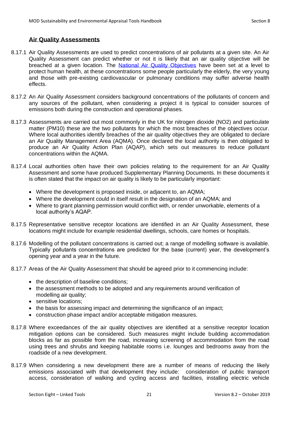### <span id="page-20-0"></span>**Air Quality Assessments**

- 8.17.1 Air Quality Assessments are used to predict concentrations of air pollutants at a given site. An Air Quality Assessment can predict whether or not it is likely that an air quality objective will be breached at a given location. The [National Air Quality Objectives](https://uk-air.defra.gov.uk/assets/documents/National_air_quality_objectives.pdf) have been set at a level to protect human health, at these concentrations some people particularly the elderly, the very young and those with pre-existing cardiovascular or pulmonary conditions may suffer adverse health effects.
- 8.17.2 An Air Quality Assessment considers background concentrations of the pollutants of concern and any sources of the pollutant, when considering a project it is typical to consider sources of emissions both during the construction and operational phases.
- 8.17.3 Assessments are carried out most commonly in the UK for nitrogen dioxide (NO2) and particulate matter (PM10) these are the two pollutants for which the most breaches of the objectives occur. Where local authorities identify breaches of the air quality objectives they are obligated to declare an Air Quality Management Area (AQMA). Once declared the local authority is then obligated to produce an Air Quality Action Plan (AQAP), which sets out measures to reduce pollutant concentrations within the AQMA.
- 8.17.4 Local authorities often have their own policies relating to the requirement for an Air Quality Assessment and some have produced Supplementary Planning Documents. In these documents it is often stated that the impact on air quality is likely to be particularly important:
	- Where the development is proposed inside, or adjacent to, an AQMA;
	- Where the development could in itself result in the designation of an AQMA; and
	- Where to grant planning permission would conflict with, or render unworkable, elements of a local authority's AQAP.
- 8.17.5 Representative sensitive receptor locations are identified in an Air Quality Assessment, these locations might include for example residential dwellings, schools, care homes or hospitals.
- 8.17.6 Modelling of the pollutant concentrations is carried out; a range of modelling software is available. Typically pollutants concentrations are predicted for the base (current) year, the development's opening year and a year in the future.
- 8.17.7 Areas of the Air Quality Assessment that should be agreed prior to it commencing include:
	- the description of baseline conditions;
	- the assessment methods to be adopted and any requirements around verification of modelling air quality;
	- sensitive locations:
	- the basis for assessing impact and determining the significance of an impact;
	- construction phase impact and/or acceptable mitigation measures.
- 8.17.8 Where exceedances of the air quality objectives are identified at a sensitive receptor location mitigation options can be considered. Such measures might include building accommodation blocks as far as possible from the road, increasing screening of accommodation from the road using trees and shrubs and keeping habitable rooms i.e. lounges and bedrooms away from the roadside of a new development.
- 8.17.9 When considering a new development there are a number of means of reducing the likely emissions associated with that development they include: consideration of public transport access, consideration of walking and cycling access and facilities, installing electric vehicle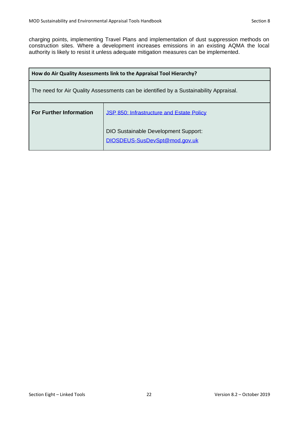charging points, implementing Travel Plans and implementation of dust suppression methods on construction sites. Where a development increases emissions in an existing AQMA the local authority is likely to resist it unless adequate mitigation measures can be implemented.

| How do Air Quality Assessments link to the Appraisal Tool Hierarchy?                  |                                                                              |  |  |
|---------------------------------------------------------------------------------------|------------------------------------------------------------------------------|--|--|
| The need for Air Quality Assessments can be identified by a Sustainability Appraisal. |                                                                              |  |  |
| <b>For Further Information</b>                                                        | JSP 850: Infrastructure and Estate Policy                                    |  |  |
|                                                                                       | <b>DIO Sustainable Development Support:</b><br>DIOSDEUS-SusDevSpt@mod.gov.uk |  |  |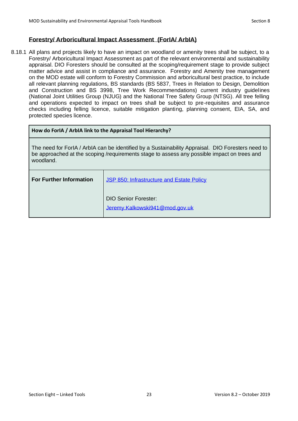## <span id="page-22-0"></span>**Forestry/ Arboricultural Impact Assessment (ForIA/ ArbIA)**

8.18.1 All plans and projects likely to have an impact on woodland or amenity trees shall be subject, to a Forestry/ Arboricultural Impact Assessment as part of the relevant environmental and sustainability appraisal. DIO Foresters should be consulted at the scoping/requirement stage to provide subject matter advice and assist in compliance and assurance. Forestry and Amenity tree management on the MOD estate will conform to Forestry Commission and arboricultural best practice, to include all relevant planning regulations, BS standards (BS 5837, Trees in Relation to Design, Demolition and Construction and BS 3998, Tree Work Recommendations) current industry guidelines (National Joint Utilities Group (NJUG) and the National Tree Safety Group (NTSG). All tree felling and operations expected to impact on trees shall be subject to pre-requisites and assurance checks including felling licence, suitable mitigation planting, planning consent, EIA, SA, and protected species licence.

| How do ForlA / ArbIA link to the Appraisal Tool Hierarchy?                                                                                                                                                    |                                                               |  |  |
|---------------------------------------------------------------------------------------------------------------------------------------------------------------------------------------------------------------|---------------------------------------------------------------|--|--|
| The need for ForlA / ArbIA can be identified by a Sustainability Appraisal. DIO Foresters need to<br>be approached at the scoping /requirements stage to assess any possible impact on trees and<br>woodland. |                                                               |  |  |
| <b>For Further Information</b>                                                                                                                                                                                | <b>JSP 850: Infrastructure and Estate Policy</b>              |  |  |
|                                                                                                                                                                                                               | <b>DIO Senior Forester:</b><br>Jeremy.Kalkowski941@mod.gov.uk |  |  |